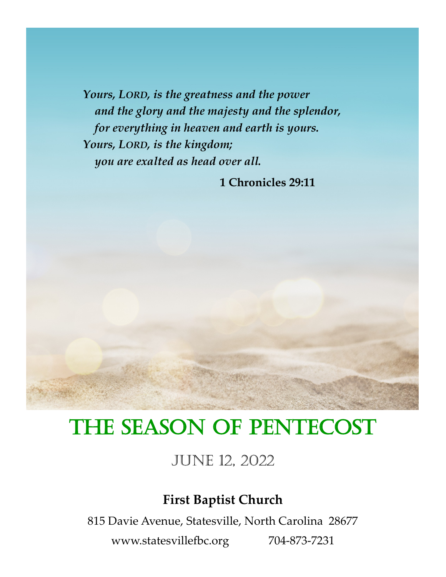*Yours, LORD, is the greatness and the power and the glory and the majesty and the splendor, for everything in heaven and earth is yours. Yours, LORD, is the kingdom; you are exalted as head over all.*

 **1 Chronicles 29:11**

## THE SEASON OF PENTECOST

June 12, 2022

## **First Baptist Church**

815 Davie Avenue, Statesville, North Carolina 28677

www.statesvillefbc.org 704-873-7231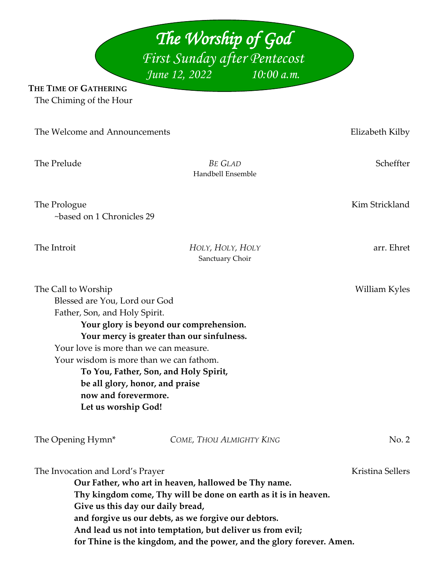*The Worship of God First Sunday after Pentecost June 12, 2022* 

**THE TIME OF GATHERING** The Chiming of the Hour

| The Welcome and Announcements                                                                                                                                                                                                                                                                         |                                                                                                                                                                                                                                                                                                                        | Elizabeth Kilby  |
|-------------------------------------------------------------------------------------------------------------------------------------------------------------------------------------------------------------------------------------------------------------------------------------------------------|------------------------------------------------------------------------------------------------------------------------------------------------------------------------------------------------------------------------------------------------------------------------------------------------------------------------|------------------|
| The Prelude                                                                                                                                                                                                                                                                                           | <b>BE GLAD</b><br>Handbell Ensemble                                                                                                                                                                                                                                                                                    | Scheffter        |
| The Prologue<br>~based on 1 Chronicles 29                                                                                                                                                                                                                                                             |                                                                                                                                                                                                                                                                                                                        | Kim Strickland   |
| The Introit                                                                                                                                                                                                                                                                                           | HOLY, HOLY, HOLY<br>Sanctuary Choir                                                                                                                                                                                                                                                                                    | arr. Ehret       |
| The Call to Worship<br>Blessed are You, Lord our God<br>Father, Son, and Holy Spirit.<br>Your love is more than we can measure.<br>Your wisdom is more than we can fathom.<br>To You, Father, Son, and Holy Spirit,<br>be all glory, honor, and praise<br>now and forevermore.<br>Let us worship God! | Your glory is beyond our comprehension.<br>Your mercy is greater than our sinfulness.                                                                                                                                                                                                                                  | William Kyles    |
| The Opening Hymn*                                                                                                                                                                                                                                                                                     | COME, THOU ALMIGHTY KING                                                                                                                                                                                                                                                                                               | No. 2            |
| The Invocation and Lord's Prayer<br>Give us this day our daily bread,                                                                                                                                                                                                                                 | Our Father, who art in heaven, hallowed be Thy name.<br>Thy kingdom come, Thy will be done on earth as it is in heaven.<br>and forgive us our debts, as we forgive our debtors.<br>And lead us not into temptation, but deliver us from evil;<br>for Thine is the kingdom, and the power, and the glory forever. Amen. | Kristina Sellers |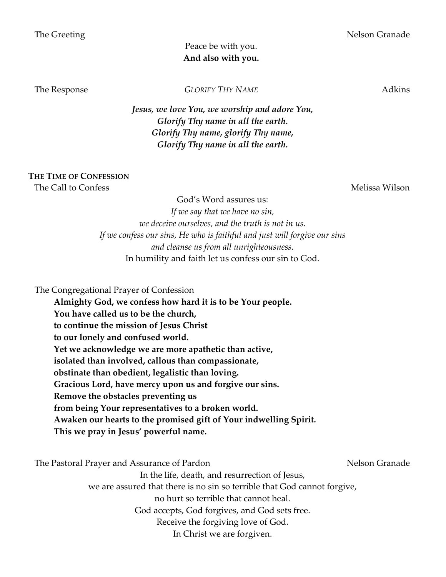## Peace be with you. **And also with you.**

The Response *GLORIFY THY NAME* Adkins

*Jesus, we love You, we worship and adore You, Glorify Thy name in all the earth. Glorify Thy name, glorify Thy name, Glorify Thy name in all the earth.*

## **THE TIME OF CONFESSION**

The Call to Confess **Melissa Wilson** Melissa Wilson

God's Word assures us: *If we say that we have no sin, we deceive ourselves, and the truth is not in us. If we confess our sins, He who is faithful and just will forgive our sins and cleanse us from all unrighteousness.* In humility and faith let us confess our sin to God.

The Congregational Prayer of Confession

**Almighty God, we confess how hard it is to be Your people. You have called us to be the church, to continue the mission of Jesus Christ to our lonely and confused world. Yet we acknowledge we are more apathetic than active, isolated than involved, callous than compassionate, obstinate than obedient, legalistic than loving. Gracious Lord, have mercy upon us and forgive our sins. Remove the obstacles preventing us from being Your representatives to a broken world. Awaken our hearts to the promised gift of Your indwelling Spirit. This we pray in Jesus' powerful name.**

The Pastoral Prayer and Assurance of Pardon Nelson Granade Nelson Granade

In the life, death, and resurrection of Jesus,

we are assured that there is no sin so terrible that God cannot forgive,

no hurt so terrible that cannot heal.

God accepts, God forgives, and God sets free.

Receive the forgiving love of God.

In Christ we are forgiven.